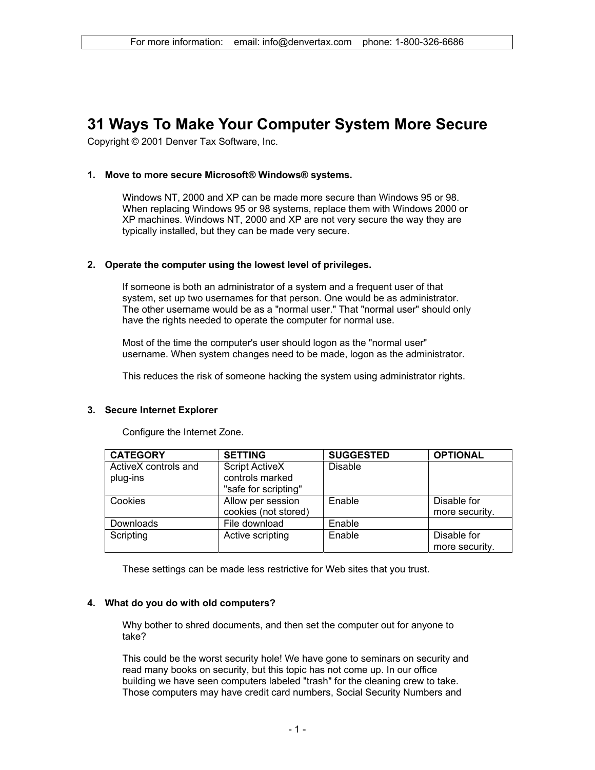# **31 Ways To Make Your Computer System More Secure**

Copyright © 2001 Denver Tax Software, Inc.

# **1. Move to more secure Microsoft® Windows® systems.**

Windows NT, 2000 and XP can be made more secure than Windows 95 or 98. When replacing Windows 95 or 98 systems, replace them with Windows 2000 or XP machines. Windows NT, 2000 and XP are not very secure the way they are typically installed, but they can be made very secure.

# **2. Operate the computer using the lowest level of privileges.**

If someone is both an administrator of a system and a frequent user of that system, set up two usernames for that person. One would be as administrator. The other username would be as a "normal user." That "normal user" should only have the rights needed to operate the computer for normal use.

Most of the time the computer's user should logon as the "normal user" username. When system changes need to be made, logon as the administrator.

This reduces the risk of someone hacking the system using administrator rights.

# **3. Secure Internet Explorer**

| <b>CATEGORY</b>      | <b>SETTING</b>        | <b>SUGGESTED</b> | <b>OPTIONAL</b> |
|----------------------|-----------------------|------------------|-----------------|
| ActiveX controls and | <b>Script ActiveX</b> | <b>Disable</b>   |                 |
| plug-ins             | controls marked       |                  |                 |
|                      | "safe for scripting"  |                  |                 |
| Cookies              | Allow per session     | Enable           | Disable for     |
|                      | cookies (not stored)  |                  | more security.  |
| Downloads            | File download         | Enable           |                 |
| Scripting            | Active scripting      | Enable           | Disable for     |
|                      |                       |                  | more security.  |

Configure the Internet Zone.

These settings can be made less restrictive for Web sites that you trust.

# **4. What do you do with old computers?**

Why bother to shred documents, and then set the computer out for anyone to take?

This could be the worst security hole! We have gone to seminars on security and read many books on security, but this topic has not come up. In our office building we have seen computers labeled "trash" for the cleaning crew to take. Those computers may have credit card numbers, Social Security Numbers and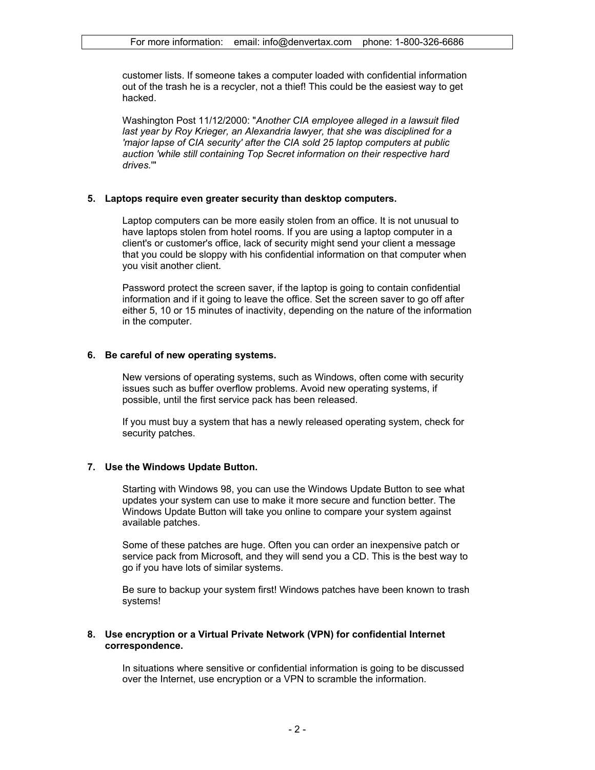customer lists. If someone takes a computer loaded with confidential information out of the trash he is a recycler, not a thief! This could be the easiest way to get hacked.

Washington Post 11/12/2000: "*Another CIA employee alleged in a lawsuit filed last year by Roy Krieger, an Alexandria lawyer, that she was disciplined for a 'major lapse of CIA security' after the CIA sold 25 laptop computers at public auction 'while still containing Top Secret information on their respective hard drives.*'"

#### **5. Laptops require even greater security than desktop computers.**

Laptop computers can be more easily stolen from an office. It is not unusual to have laptops stolen from hotel rooms. If you are using a laptop computer in a client's or customer's office, lack of security might send your client a message that you could be sloppy with his confidential information on that computer when you visit another client.

Password protect the screen saver, if the laptop is going to contain confidential information and if it going to leave the office. Set the screen saver to go off after either 5, 10 or 15 minutes of inactivity, depending on the nature of the information in the computer.

#### **6. Be careful of new operating systems.**

New versions of operating systems, such as Windows, often come with security issues such as buffer overflow problems. Avoid new operating systems, if possible, until the first service pack has been released.

If you must buy a system that has a newly released operating system, check for security patches.

# **7. Use the Windows Update Button.**

Starting with Windows 98, you can use the Windows Update Button to see what updates your system can use to make it more secure and function better. The Windows Update Button will take you online to compare your system against available patches.

Some of these patches are huge. Often you can order an inexpensive patch or service pack from Microsoft, and they will send you a CD. This is the best way to go if you have lots of similar systems.

Be sure to backup your system first! Windows patches have been known to trash systems!

#### **8. Use encryption or a Virtual Private Network (VPN) for confidential Internet correspondence.**

In situations where sensitive or confidential information is going to be discussed over the Internet, use encryption or a VPN to scramble the information.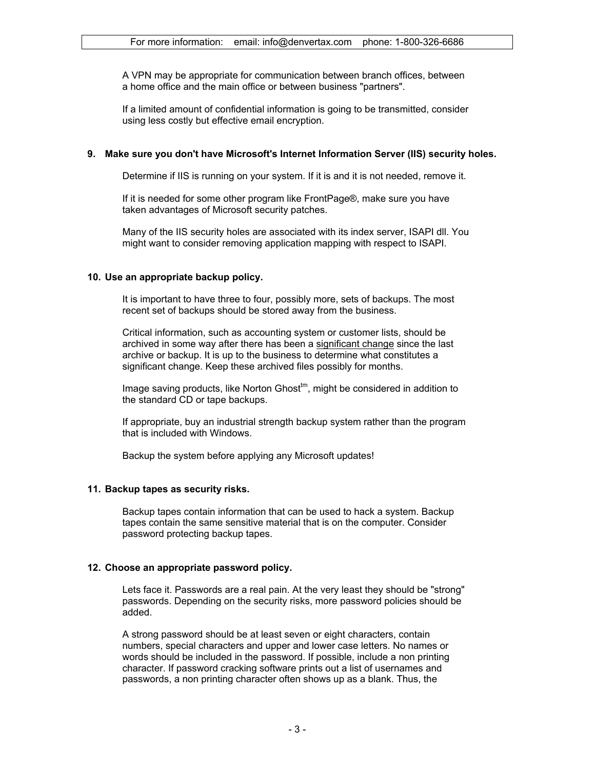A VPN may be appropriate for communication between branch offices, between a home office and the main office or between business "partners".

If a limited amount of confidential information is going to be transmitted, consider using less costly but effective email encryption.

#### **9. Make sure you don't have Microsoft's Internet Information Server (IIS) security holes.**

Determine if IIS is running on your system. If it is and it is not needed, remove it.

If it is needed for some other program like FrontPage®, make sure you have taken advantages of Microsoft security patches.

Many of the IIS security holes are associated with its index server, ISAPI dll. You might want to consider removing application mapping with respect to ISAPI.

#### **10. Use an appropriate backup policy.**

It is important to have three to four, possibly more, sets of backups. The most recent set of backups should be stored away from the business.

Critical information, such as accounting system or customer lists, should be archived in some way after there has been a significant change since the last archive or backup. It is up to the business to determine what constitutes a significant change. Keep these archived files possibly for months.

Image saving products, like Norton Ghost<sup>tm</sup>, might be considered in addition to the standard CD or tape backups.

If appropriate, buy an industrial strength backup system rather than the program that is included with Windows.

Backup the system before applying any Microsoft updates!

# **11. Backup tapes as security risks.**

Backup tapes contain information that can be used to hack a system. Backup tapes contain the same sensitive material that is on the computer. Consider password protecting backup tapes.

# **12. Choose an appropriate password policy.**

Lets face it. Passwords are a real pain. At the very least they should be "strong" passwords. Depending on the security risks, more password policies should be added.

A strong password should be at least seven or eight characters, contain numbers, special characters and upper and lower case letters. No names or words should be included in the password. If possible, include a non printing character. If password cracking software prints out a list of usernames and passwords, a non printing character often shows up as a blank. Thus, the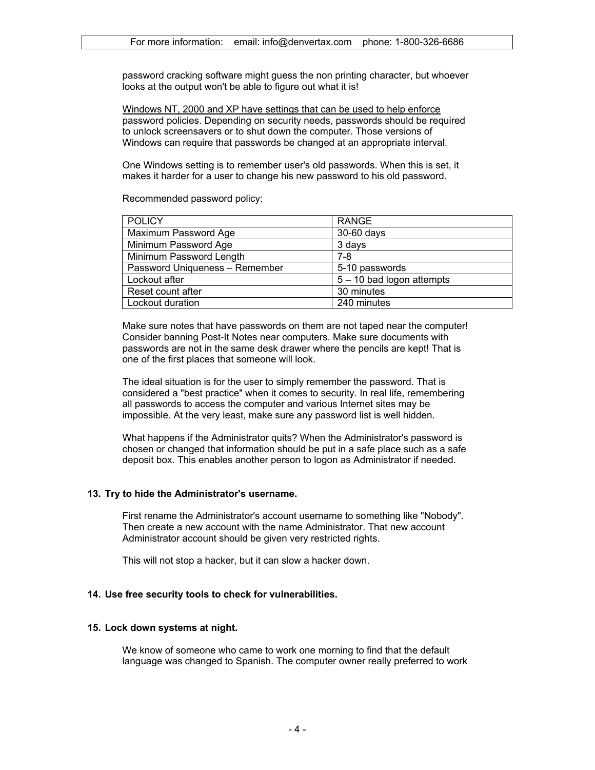password cracking software might guess the non printing character, but whoever looks at the output won't be able to figure out what it is!

Windows NT, 2000 and XP have settings that can be used to help enforce password policies. Depending on security needs, passwords should be required to unlock screensavers or to shut down the computer. Those versions of Windows can require that passwords be changed at an appropriate interval.

One Windows setting is to remember user's old passwords. When this is set, it makes it harder for a user to change his new password to his old password.

Recommended password policy:

| <b>POLICY</b>                  | <b>RANGE</b>                |  |
|--------------------------------|-----------------------------|--|
| Maximum Password Age           | 30-60 days                  |  |
| Minimum Password Age           | 3 days                      |  |
| Minimum Password Length        | 7-8                         |  |
| Password Uniqueness - Remember | 5-10 passwords              |  |
| Lockout after                  | $5 - 10$ bad logon attempts |  |
| Reset count after              | 30 minutes                  |  |
| Lockout duration               | 240 minutes                 |  |

Make sure notes that have passwords on them are not taped near the computer! Consider banning Post-It Notes near computers. Make sure documents with passwords are not in the same desk drawer where the pencils are kept! That is one of the first places that someone will look.

The ideal situation is for the user to simply remember the password. That is considered a "best practice" when it comes to security. In real life, remembering all passwords to access the computer and various Internet sites may be impossible. At the very least, make sure any password list is well hidden.

What happens if the Administrator quits? When the Administrator's password is chosen or changed that information should be put in a safe place such as a safe deposit box. This enables another person to logon as Administrator if needed.

# **13. Try to hide the Administrator's username.**

First rename the Administrator's account username to something like "Nobody". Then create a new account with the name Administrator. That new account Administrator account should be given very restricted rights.

This will not stop a hacker, but it can slow a hacker down.

# **14. Use free security tools to check for vulnerabilities.**

#### **15. Lock down systems at night.**

We know of someone who came to work one morning to find that the default language was changed to Spanish. The computer owner really preferred to work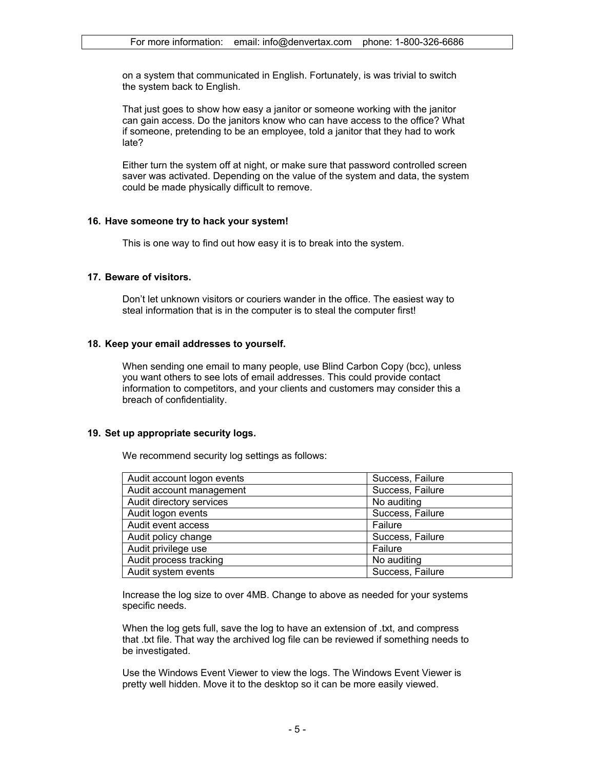on a system that communicated in English. Fortunately, is was trivial to switch the system back to English.

That just goes to show how easy a janitor or someone working with the janitor can gain access. Do the janitors know who can have access to the office? What if someone, pretending to be an employee, told a janitor that they had to work late?

Either turn the system off at night, or make sure that password controlled screen saver was activated. Depending on the value of the system and data, the system could be made physically difficult to remove.

#### **16. Have someone try to hack your system!**

This is one way to find out how easy it is to break into the system.

### **17. Beware of visitors.**

Don't let unknown visitors or couriers wander in the office. The easiest way to steal information that is in the computer is to steal the computer first!

#### **18. Keep your email addresses to yourself.**

When sending one email to many people, use Blind Carbon Copy (bcc), unless you want others to see lots of email addresses. This could provide contact information to competitors, and your clients and customers may consider this a breach of confidentiality.

#### **19. Set up appropriate security logs.**

We recommend security log settings as follows:

| Audit account logon events | Success, Failure |  |
|----------------------------|------------------|--|
| Audit account management   | Success, Failure |  |
| Audit directory services   | No auditing      |  |
| Audit logon events         | Success, Failure |  |
| Audit event access         | Failure          |  |
| Audit policy change        | Success, Failure |  |
| Audit privilege use        | Failure          |  |
| Audit process tracking     | No auditing      |  |
| Audit system events        | Success, Failure |  |

Increase the log size to over 4MB. Change to above as needed for your systems specific needs.

When the log gets full, save the log to have an extension of .txt, and compress that .txt file. That way the archived log file can be reviewed if something needs to be investigated.

Use the Windows Event Viewer to view the logs. The Windows Event Viewer is pretty well hidden. Move it to the desktop so it can be more easily viewed.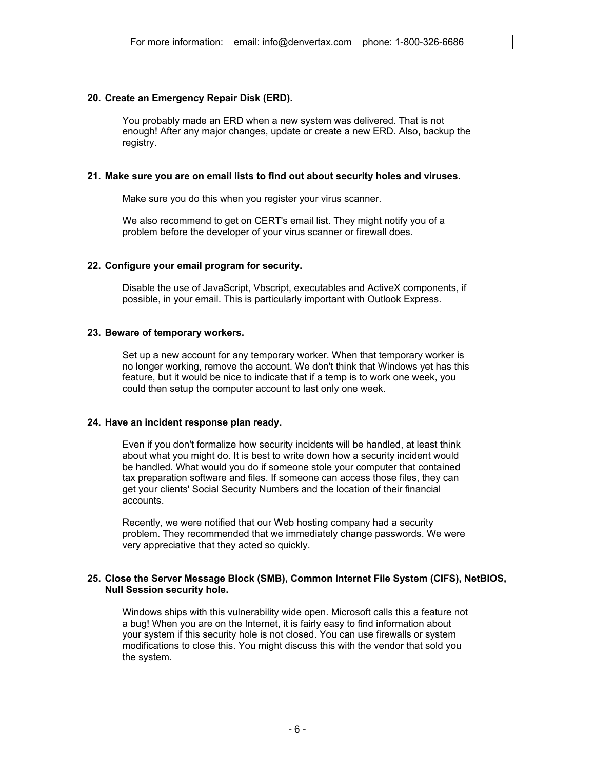### **20. Create an Emergency Repair Disk (ERD).**

You probably made an ERD when a new system was delivered. That is not enough! After any major changes, update or create a new ERD. Also, backup the registry.

#### **21. Make sure you are on email lists to find out about security holes and viruses.**

Make sure you do this when you register your virus scanner.

We also recommend to get on CERT's email list. They might notify you of a problem before the developer of your virus scanner or firewall does.

#### **22. Configure your email program for security.**

Disable the use of JavaScript, Vbscript, executables and ActiveX components, if possible, in your email. This is particularly important with Outlook Express.

#### **23. Beware of temporary workers.**

Set up a new account for any temporary worker. When that temporary worker is no longer working, remove the account. We don't think that Windows yet has this feature, but it would be nice to indicate that if a temp is to work one week, you could then setup the computer account to last only one week.

#### **24. Have an incident response plan ready.**

Even if you don't formalize how security incidents will be handled, at least think about what you might do. It is best to write down how a security incident would be handled. What would you do if someone stole your computer that contained tax preparation software and files. If someone can access those files, they can get your clients' Social Security Numbers and the location of their financial accounts.

Recently, we were notified that our Web hosting company had a security problem. They recommended that we immediately change passwords. We were very appreciative that they acted so quickly.

# **25. Close the Server Message Block (SMB), Common Internet File System (CIFS), NetBIOS, Null Session security hole.**

Windows ships with this vulnerability wide open. Microsoft calls this a feature not a bug! When you are on the Internet, it is fairly easy to find information about your system if this security hole is not closed. You can use firewalls or system modifications to close this. You might discuss this with the vendor that sold you the system.